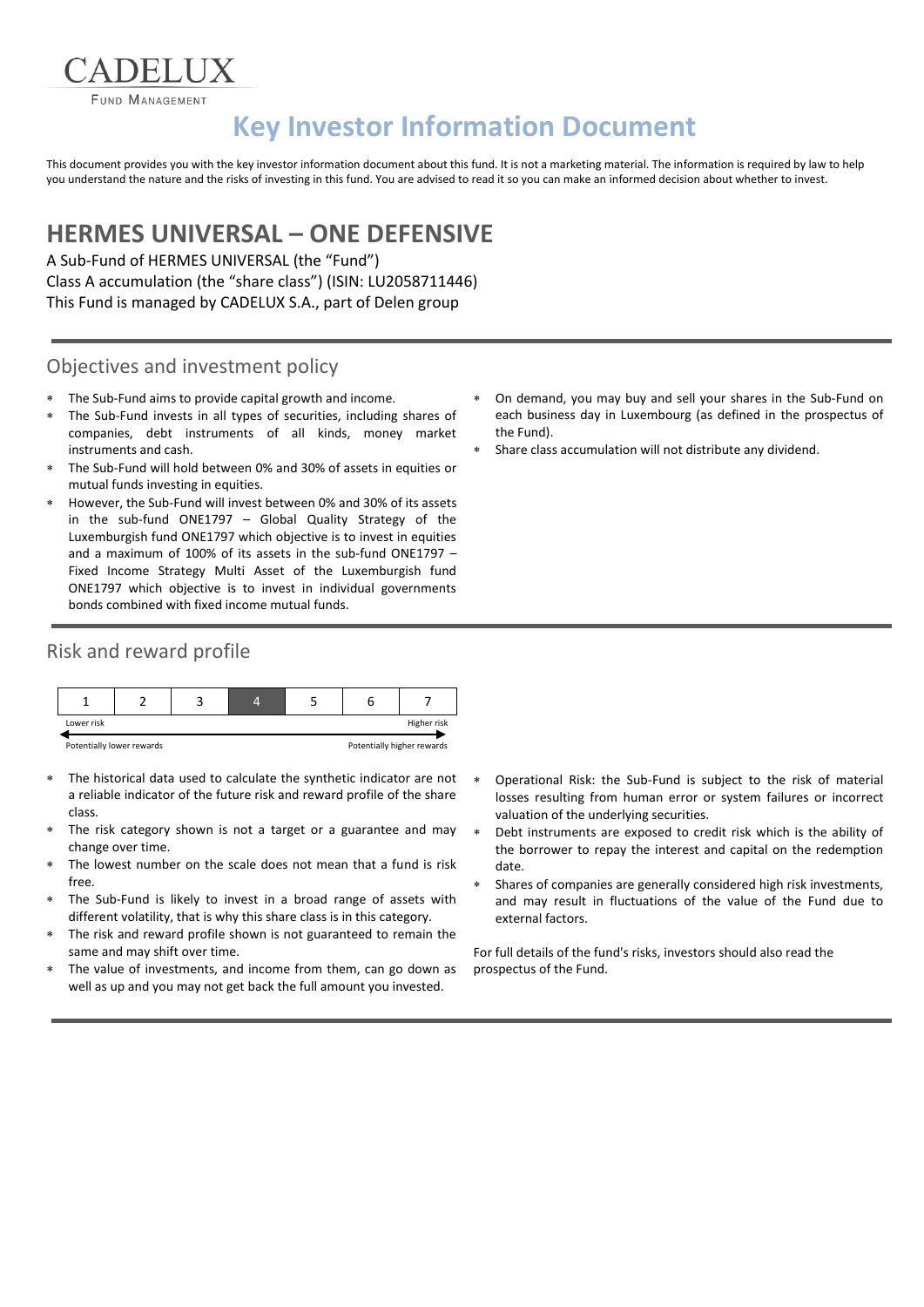**FUND MANAGEMENT** 

# **Key Investor Information Document**

This document provides you with the key investor information document about this fund. It is not a marketing material. The information is required by law to help you understand the nature and the risks of investing in this fund. You are advised to read it so you can make an informed decision about whether to invest.

## **HERMES UNIVERSAL – ONE DEFENSIVE**

A Sub-Fund of HERMES UNIVERSAL (the "Fund") Class A accumulation (the "share class") (ISIN: LU2058711446) This Fund is managed by CADELUX S.A., part of Delen group

#### Objectives and investment policy

- The Sub-Fund aims to provide capital growth and income.
- The Sub-Fund invests in all types of securities, including shares of companies, debt instruments of all kinds, money market instruments and cash.
- The Sub-Fund will hold between 0% and 30% of assets in equities or mutual funds investing in equities.
- However, the Sub-Fund will invest between 0% and 30% of its assets in the sub-fund ONE1797 – Global Quality Strategy of the Luxemburgish fund ONE1797 which objective is to invest in equities and a maximum of 100% of its assets in the sub-fund ONE1797 – Fixed Income Strategy Multi Asset of the Luxemburgish fund ONE1797 which objective is to invest in individual governments bonds combined with fixed income mutual funds.

#### Risk and reward profile



- The historical data used to calculate the synthetic indicator are not a reliable indicator of the future risk and reward profile of the share class.
- The risk category shown is not a target or a guarantee and may change over time.
- The lowest number on the scale does not mean that a fund is risk free.
- The Sub-Fund is likely to invest in a broad range of assets with different volatility, that is why this share class is in this category.
- The risk and reward profile shown is not guaranteed to remain the same and may shift over time.
- The value of investments, and income from them, can go down as well as up and you may not get back the full amount you invested.
- On demand, you may buy and sell your shares in the Sub-Fund on each business day in Luxembourg (as defined in the prospectus of the Fund).
- Share class accumulation will not distribute any dividend.

- Operational Risk: the Sub-Fund is subject to the risk of material losses resulting from human error or system failures or incorrect valuation of the underlying securities.
- Debt instruments are exposed to credit risk which is the ability of the borrower to repay the interest and capital on the redemption date.
- Shares of companies are generally considered high risk investments, and may result in fluctuations of the value of the Fund due to external factors.

For full details of the fund's risks, investors should also read the prospectus of the Fund.